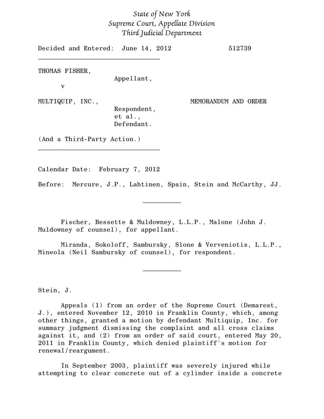## *State of New York Supreme Court, Appellate Division Third Judicial Department*

Decided and Entered: June 14, 2012 512739 \_\_\_\_\_\_\_\_\_\_\_\_\_\_\_\_\_\_\_\_\_\_\_\_\_\_\_\_\_\_\_\_ THOMAS FISHER, Appellant, v MULTIQUIP, INC., MEMORANDUM AND ORDER Respondent, et al., Defendant. (And a Third-Party Action.) \_\_\_\_\_\_\_\_\_\_\_\_\_\_\_\_\_\_\_\_\_\_\_\_\_\_\_\_\_\_\_\_

Calendar Date: February 7, 2012

Before: Mercure, J.P., Lahtinen, Spain, Stein and McCarthy, JJ.

 $\frac{1}{2}$ 

Fischer, Bessette & Muldowney, L.L.P., Malone (John J. Muldowney of counsel), for appellant.

Miranda, Sokoloff, Sambursky, Slone & Verveniotis, L.L.P., Mineola (Neil Sambursky of counsel), for respondent.

 $\frac{1}{2}$ 

Stein, J.

Appeals (1) from an order of the Supreme Court (Demarest, J.), entered November 12, 2010 in Franklin County, which, among other things, granted a motion by defendant Multiquip, Inc. for summary judgment dismissing the complaint and all cross claims against it, and (2) from an order of said court, entered May 20, 2011 in Franklin County, which denied plaintiff's motion for renewal/reargument.

In September 2003, plaintiff was severely injured while attempting to clear concrete out of a cylinder inside a concrete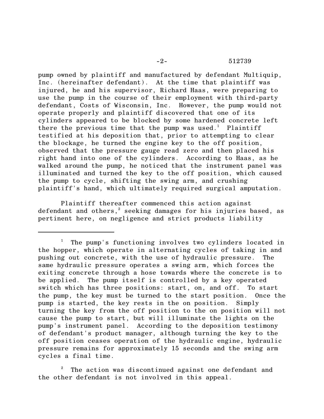pump owned by plaintiff and manufactured by defendant Multiquip, Inc. (hereinafter defendant). At the time that plaintiff was injured, he and his supervisor, Richard Haas, were preparing to use the pump in the course of their employment with third-party defendant, Costs of Wisconsin, Inc. However, the pump would not operate properly and plaintiff discovered that one of its cylinders appeared to be blocked by some hardened concrete left there the previous time that the pump was used.<sup>1</sup> Plaintiff testified at his deposition that, prior to attempting to clear the blockage, he turned the engine key to the off position, observed that the pressure gauge read zero and then placed his right hand into one of the cylinders. According to Haas, as he walked around the pump, he noticed that the instrument panel was illuminated and turned the key to the off position, which caused the pump to cycle, shifting the swing arm, and crushing plaintiff's hand, which ultimately required surgical amputation.

Plaintiff thereafter commenced this action against defendant and others, $3$  seeking damages for his injuries based, as pertinent here, on negligence and strict products liability

 $^1$  The pump's functioning involves two cylinders located in the hopper, which operate in alternating cycles of taking in and pushing out concrete, with the use of hydraulic pressure. The same hydraulic pressure operates a swing arm, which forces the exiting concrete through a hose towards where the concrete is to be applied. The pump itself is controlled by a key operated switch which has three positions: start, on, and off. To start the pump, the key must be turned to the start position. Once the pump is started, the key rests in the on position. Simply turning the key from the off position to the on position will not cause the pump to start, but will illuminate the lights on the pump's instrument panel. According to the deposition testimony of defendant's product manager, although turning the key to the off position ceases operation of the hydraulic engine, hydraulic pressure remains for approximately 15 seconds and the swing arm cycles a final time.

The action was discontinued against one defendant and the other defendant is not involved in this appeal.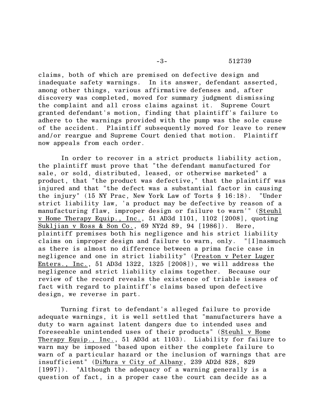claims, both of which are premised on defective design and inadequate safety warnings. In its answer, defendant asserted, among other things, various affirmative defenses and, after discovery was completed, moved for summary judgment dismissing the complaint and all cross claims against it. Supreme Court granted defendant's motion, finding that plaintiff's failure to adhere to the warnings provided with the pump was the sole cause of the accident. Plaintiff subsequently moved for leave to renew and/or reargue and Supreme Court denied that motion. Plaintiff now appeals from each order.

In order to recover in a strict products liability action, the plaintiff must prove that "the defendant manufactured for sale, or sold, distributed, leased, or otherwise marketed" a product, that "the product was defective," that the plaintiff was injured and that "the defect was a substantial factor in causing the injury" (15 NY Prac, New York Law of Torts § 16:18). "Under strict liability law, 'a product may be defective by reason of a manufacturing flaw, improper design or failure to warn'" (Steuhl v Home Therapy Equip., Inc., 51 AD3d 1101, 1102 [2008], quoting Sukljian v Ross & Son Co., 69 NY2d 89, 94 [1986]). Here, plaintiff premises both his negligence and his strict liability claims on improper design and failure to warn, only. "[I]nasmuch as there is almost no difference between a prima facie case in negligence and one in strict liability" (Preston v Peter Luger Enters., Inc., 51 AD3d 1322, 1325 [2008]), we will address the negligence and strict liability claims together. Because our review of the record reveals the existence of triable issues of fact with regard to plaintiff's claims based upon defective design, we reverse in part.

Turning first to defendant's alleged failure to provide adequate warnings, it is well settled that "manufacturers have a duty to warn against latent dangers due to intended uses and foreseeable unintended uses of their products" (Steuhl v Home Therapy Equip., Inc., 51 AD3d at 1103). Liability for failure to warn may be imposed "based upon either the complete failure to warn of a particular hazard or the inclusion of warnings that are insufficient" (DiMura v City of Albany, 239 AD2d 828, 829 [1997]). "Although the adequacy of a warning generally is a question of fact, in a proper case the court can decide as a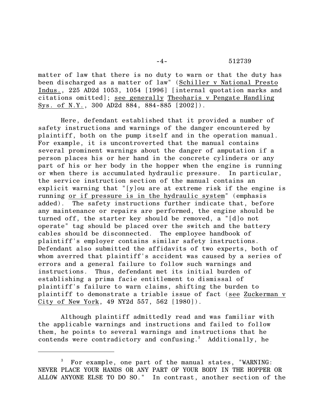-4- 512739

matter of law that there is no duty to warn or that the duty has been discharged as a matter of law" (Schiller v National Presto Indus., 225 AD2d 1053, 1054 [1996] [internal quotation marks and citations omitted]; see generally Theoharis v Pengate Handling Sys. of N.Y., 300 AD2d 884, 884-885 [2002]).

Here, defendant established that it provided a number of safety instructions and warnings of the danger encountered by plaintiff, both on the pump itself and in the operation manual. For example, it is uncontroverted that the manual contains several prominent warnings about the danger of amputation if a person places his or her hand in the concrete cylinders or any part of his or her body in the hopper when the engine is running or when there is accumulated hydraulic pressure. In particular, the service instruction section of the manual contains an explicit warning that "[y]ou are at extreme risk if the engine is running or if pressure is in the hydraulic system" (emphasis added). The safety instructions further indicate that, before any maintenance or repairs are performed, the engine should be turned off, the starter key should be removed, a "[d]o not operate" tag should be placed over the switch and the battery cables should be disconnected. The employee handbook of plaintiff's employer contains similar safety instructions. Defendant also submitted the affidavits of two experts, both of whom averred that plaintiff's accident was caused by a series of errors and a general failure to follow such warnings and instructions. Thus, defendant met its initial burden of establishing a prima facie entitlement to dismissal of plaintiff's failure to warn claims, shifting the burden to plaintiff to demonstrate a triable issue of fact (see Zuckerman v City of New York, 49 NY2d 557, 562 [1980]).

Although plaintiff admittedly read and was familiar with the applicable warnings and instructions and failed to follow them, he points to several warnings and instructions that he contends were contradictory and confusing.<sup>3</sup> Additionally, he

For example, one part of the manual states, "WARNING: NEVER PLACE YOUR HANDS OR ANY PART OF YOUR BODY IN THE HOPPER OR ALLOW ANYONE ELSE TO DO SO." In contrast, another section of the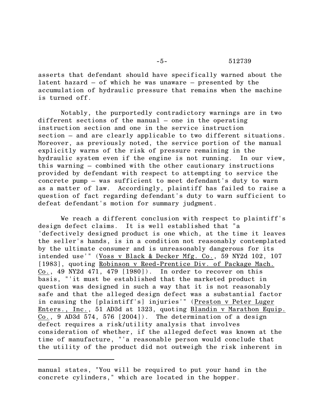asserts that defendant should have specifically warned about the latent hazard – of which he was unaware – presented by the accumulation of hydraulic pressure that remains when the machine is turned off.

Notably, the purportedly contradictory warnings are in two different sections of the manual – one in the operating instruction section and one in the service instruction section – and are clearly applicable to two different situations. Moreover, as previously noted, the service portion of the manual explicitly warns of the risk of pressure remaining in the hydraulic system even if the engine is not running. In our view, this warning – combined with the other cautionary instructions provided by defendant with respect to attempting to service the concrete pump – was sufficient to meet defendant's duty to warn as a matter of law. Accordingly, plaintiff has failed to raise a question of fact regarding defendant's duty to warn sufficient to defeat defendant's motion for summary judgment.

We reach a different conclusion with respect to plaintiff's design defect claims. It is well established that "a 'defectively designed product is one which, at the time it leaves the seller's hands, is in a condition not reasonably contemplated by the ultimate consumer and is unreasonably dangerous for its intended use'" (Voss v Black & Decker Mfg. Co., 59 NY2d 102, 107 [1983], quoting Robinson v Reed-Prentice Div. of Package Mach. Co., 49 NY2d 471, 479  $[1980]$ . In order to recover on this basis, "'it must be established that the marketed product in question was designed in such a way that it is not reasonably safe and that the alleged design defect was a substantial factor in causing the [plaintiff's] injuries'" (Preston v Peter Luger Enters., Inc., 51 AD3d at 1323, quoting Blandin v Marathon Equip. Co., 9 AD3d  $574$ ,  $576$   $[2004]$ ). The determination of a design defect requires a risk/utility analysis that involves consideration of whether, if the alleged defect was known at the time of manufacture, "'a reasonable person would conclude that the utility of the product did not outweigh the risk inherent in

manual states, "You will be required to put your hand in the concrete cylinders," which are located in the hopper.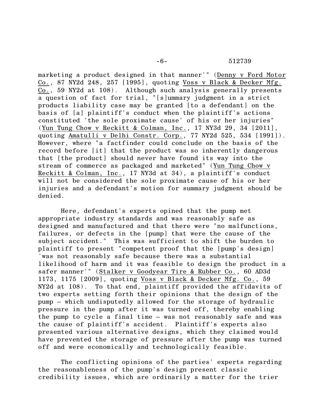-6- 512739

marketing a product designed in that manner'" (Denny v Ford Motor Co., 87 NY2d 248, 257 [1995], quoting Voss v Black & Decker Mfg. Co., 59 NY2d at 108). Although such analysis generally presents a question of fact for trial, "[s]ummary judgment in a strict products liability case may be granted [to a defendant] on the basis of [a] plaintiff's conduct when the plaintiff's actions constituted 'the sole proximate cause' of his or her injuries" (Yun Tung Chow v Reckitt & Colman, Inc., 17 NY3d 29, 34 [2011], quoting Amatulli v Delhi Constr. Corp., 77 NY2d 525, 534 [1991]). However, where "a factfinder could conclude on the basis of the record before [it] that the product was so inherently dangerous that [the product] should never have found its way into the stream of commerce as packaged and marketed" (Yun Tung Chow v Reckitt & Colman, Inc., 17 NY3d at 34), a plaintiff's conduct will not be considered the sole proximate cause of his or her injuries and a defendant's motion for summary judgment should be denied.

Here, defendant's experts opined that the pump met appropriate industry standards and was reasonably safe as designed and manufactured and that there were "no malfunctions, failures, or defects in the [pump] that were the cause of the subject accident." This was sufficient to shift the burden to plaintiff to present "competent proof that the [pump's design] 'was not reasonably safe because there was a substantial likelihood of harm and it was feasible to design the product in a safer manner'" (Stalker v Goodyear Tire & Rubber Co., 60 AD3d 1173, 1175 [2009], quoting Voss v Black & Decker Mfg. Co., 59 NY2d at 108). To that end, plaintiff provided the affidavits of two experts setting forth their opinions that the design of the pump – which undisputedly allowed for the storage of hydraulic pressure in the pump after it was turned off, thereby enabling the pump to cycle a final time – was not reasonably safe and was the cause of plaintiff's accident. Plaintiff's experts also presented various alternative designs, which they claimed would have prevented the storage of pressure after the pump was turned off and were economically and technologically feasible.

The conflicting opinions of the parties' experts regarding the reasonableness of the pump's design present classic credibility issues, which are ordinarily a matter for the trier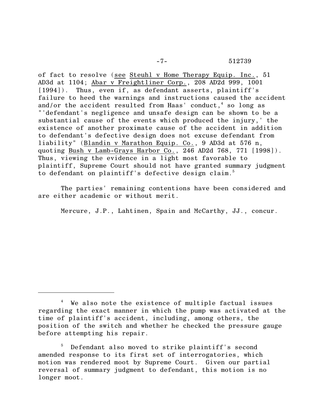of fact to resolve (see Steuhl v Home Therapy Equip. Inc., 51 AD3d at 1104; Abar v Freightliner Corp., 208 AD2d 999, 1001 [1994]). Thus, even if, as defendant asserts, plaintiff's failure to heed the warnings and instructions caused the accident and/or the accident resulted from Haas' conduct, $<sup>4</sup>$  so long as</sup> "'defendant's negligence and unsafe design can be shown to be a substantial cause of the events which produced the injury,' the existence of another proximate cause of the accident in addition to defendant's defective design does not excuse defendant from liability" (Blandin v Marathon Equip. Co., 9 AD3d at 576 n, quoting Bush v Lamb-Grays Harbor Co., 246 AD2d 768, 771 [1998]). Thus, viewing the evidence in a light most favorable to plaintiff, Supreme Court should not have granted summary judgment to defendant on plaintiff's defective design claim. 5

The parties' remaining contentions have been considered and are either academic or without merit.

Mercure, J.P., Lahtinen, Spain and McCarthy, JJ., concur.

 $4$  We also note the existence of multiple factual issues regarding the exact manner in which the pump was activated at the time of plaintiff's accident, including, among others, the position of the switch and whether he checked the pressure gauge before attempting his repair.

Defendant also moved to strike plaintiff's second 5 amended response to its first set of interrogatories, which motion was rendered moot by Supreme Court. Given our partial reversal of summary judgment to defendant, this motion is no longer moot.